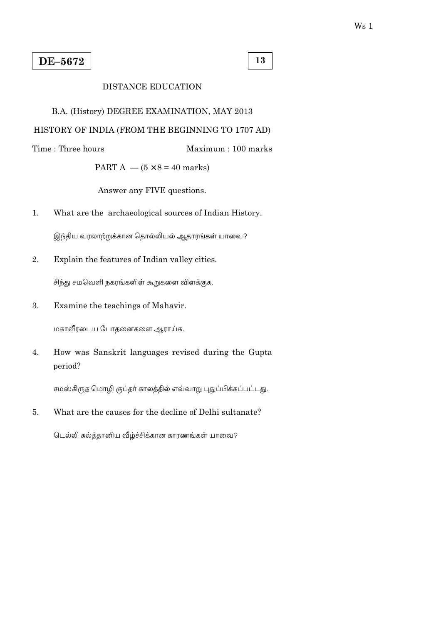13

Maximum: 100 marks

## **DISTANCE EDUCATION**

## B.A. (History) DEGREE EXAMINATION, MAY 2013

## HISTORY OF INDIA (FROM THE BEGINNING TO 1707 AD)

Time: Three hours

PART A  $-$  (5  $\times$  8 = 40 marks)

Answer any FIVE questions.

 $1.$ What are the archaeological sources of Indian History.

இந்திய வரலாற்றுக்கான தொல்லியல் ஆதாரங்கள் யாவை?

2. Explain the features of Indian valley cities.

சிந்து சமவெளி நகரங்களிள் கூறுகளை விளக்குக.

Examine the teachings of Mahavir.  $\overline{3}$ .

மகாவீரடைய போதனைகளை ஆராய்க.

4. How was Sanskrit languages revised during the Gupta period?

சமஸ்கிருத மொழி குப்தா் காலத்தில் எவ்வாறு புதுப்பிக்கப்பட்டது.

What are the causes for the decline of Delhi sultanate? 5.

டெல்லி சுல்த்தானிய வீழ்ச்சிக்கான காரணங்கள் யாவை?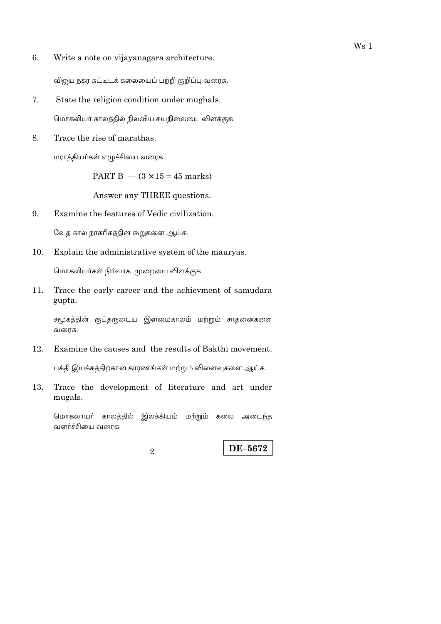6. Write a note on vijayanagara architecture.

விஜய நகர கட்டிடக் கலையைப் பற்றி குறிப்பு வரைக.

- 7. State the religion condition under mughals. மொகலியர் காலத்தில் நிலவிய சுயநிலையை விளக்குக.
- 8. Trace the rise of marathas.

மராத்தியா்கள் எழுச்சியை வரைக.

PART B  $-$  (3  $\times$  15 = 45 marks)

Answer any THREE questions.

9. Examine the features of Vedic civilization.

வேத கால நாகரிகத்தின் கூறுகளை ஆய்க.

10. Explain the administrative system of the mauryas.

மொகலியர்கள் நிர்வாக முறையை விளக்குக.

Trace the early career and the achievment of samudara 11. gupta.

சமூகத்தின் குப்தருடைய இளமைகாலம் மற்றும் சாதனைகளை வரைக.

Examine the causes and the results of Bakthi movement. 12.

பக்தி இயக்கத்திற்கான காரணங்கள் மற்றும் விளைவுகளை ஆய்க.

Trace the development of literature and art under 13. mugals.

மொகலாயா் காலத்தில் இலக்கியம் மற்றும் கலை அடைந்த வளர்ச்சியை வரைக.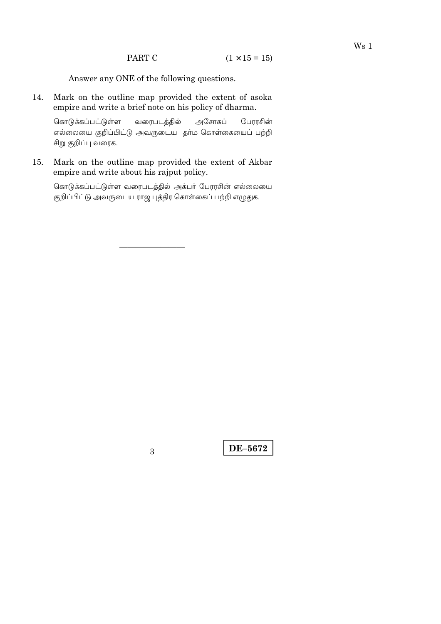Answer any ONE of the following questions.

14. Mark on the outline map provided the extent of asoka empire and write a brief note on his policy of dharma.

கொடுக்கப்பட்டுள்ள வரைபடத்தில் அசோகப் பேரரசின் எல்லையை குறிப்பிட்டு அவருடைய தா்ம கொள்கையைப் பற்றி சிறு குறிப்பு வரைக.

Mark on the outline map provided the extent of Akbar 15. empire and write about his rajput policy.

கொடுக்கப்பட்டுள்ள வரைபடத்தில் அக்பர் பேரரசின் எல்லையை .<br>குறிப்பிட்டு அவருடைய ராஜ புத்திர கொள்கைப் பற்றி எழுதுக.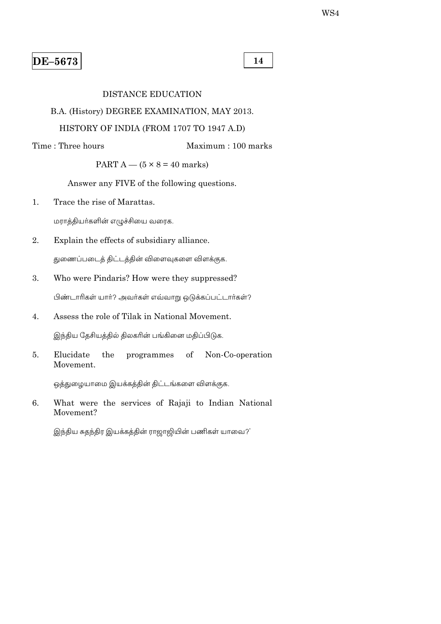14

#### **DISTANCE EDUCATION**

### B.A. (History) DEGREE EXAMINATION, MAY 2013.

### HISTORY OF INDIA (FROM 1707 TO 1947 A.D)

Time: Three hours Maximum: 100 marks

PART  $A - (5 \times 8 = 40$  marks)

Answer any FIVE of the following questions.

 $\mathbf{1}$ . Trace the rise of Marattas.

மராத்தியா்களின் எழுச்சியை வரைக.

 $\overline{2}$ . Explain the effects of subsidiary alliance.

துணைப்படைத் திட்டத்தின் விளைவுகளை விளக்குக.

3. Who were Pindaris? How were they suppressed?

பிண்டாரிகள் யார்? அவர்கள் எவ்வாறு ஒடுக்கப்பட்டார்கள்?

- Assess the role of Tilak in National Movement. 4. இந்திய தேசியத்தில் திலகரின் பங்கினை மதிப்பிடுக.
- Elucidate Non-Co-operation 5. the programmes of Movement.

ஒத்துழையாமை இயக்கத்தின் திட்டங்களை விளக்குக.

6. What were the services of Rajaji to Indian National Movement?

இந்திய சுதந்திர இயக்கத்தின் ராஜாஜியின் பணிகள் யாவை?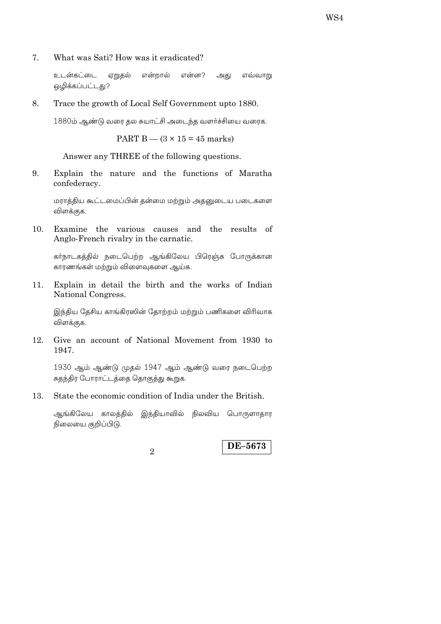What was Sati? How was it eradicated? 7.

> உடன்கட்டை ஏறுதல் என்றால் என்ன? அது எவ்வாறு ஒழிக்கப்பட்டது?

8. Trace the growth of Local Self Government upto 1880.

1880ம் ஆண்டு வரை தல சுயாட்சி அடைந்த வளர்ச்சியை வரைக.

PART B  $-$  (3  $\times$  15 = 45 marks)

Answer any THREE of the following questions.

Explain the nature and the functions of Maratha 9. confederacy.

மராத்திய கூட்டமைப்பின் தன்மை மற்றும் அதனுடைய படைகளை விளக்குக.

Examine the various causes and the results of 10. Anglo-French rivalry in the carnatic.

கர்நாடகத்தில் நடைபெற்ற ஆங்கிலேய பிரெஞ்சு போருக்கான காரணங்கள் மற்றும் விளைவுகளை ஆய்க.

Explain in detail the birth and the works of Indian 11. National Congress.

இந்திய தேசிய காங்கிரஸின் தோற்றம் மற்றும் பணிகளை விரிவாக விளக்குக.

Give an account of National Movement from 1930 to 12. 1947.

1930 ஆம் ஆண்டு முதல் 1947 ஆம் ஆண்டு வரை நடைபெற்ற சுதந்திர போராட்டத்தை தொகுத்து கூறுக.

State the economic condition of India under the British. 13.

ஆங்கிலேய காலத்தில் இந்தியாவில் நிலவிய பொருளாதார நிலையை குறிப்பிடு.

 $\mathfrak{D}$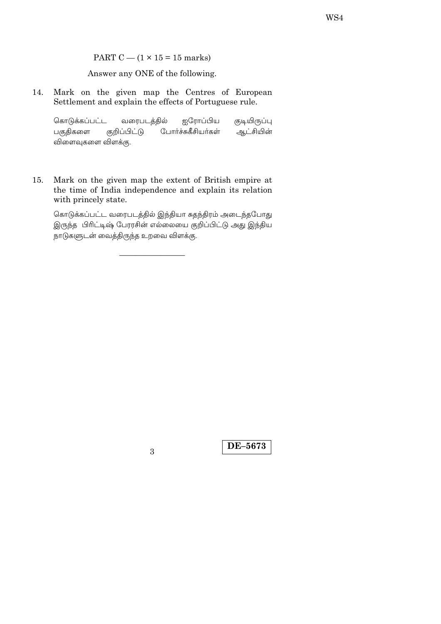PART C  $-$  (1  $\times$  15 = 15 marks)

Answer any ONE of the following.

Mark on the given map the Centres of European 14. Settlement and explain the effects of Portuguese rule.

கொடுக்கப்பட்ட வரைபடத்தில் ஐரோப்பிய குடியிருப்பு குறிப்பிட்டு போர்ச்சுகீசியர்கள் ஆட்சியின் பகுதிகளை விளைவுகளை விளக்கு.

Mark on the given map the extent of British empire at 15. the time of India independence and explain its relation with princely state.

கொடுக்கப்பட்ட வரைபடத்தில் இந்தியா சுதந்திரம் அடைந்தபோது இருந்த பிரிட்டிஷ் பேரரசின் எல்லையை குறிப்பிட்டு அது இந்திய நாடுகளுடன் வைத்திருந்த உறவை விளக்கு.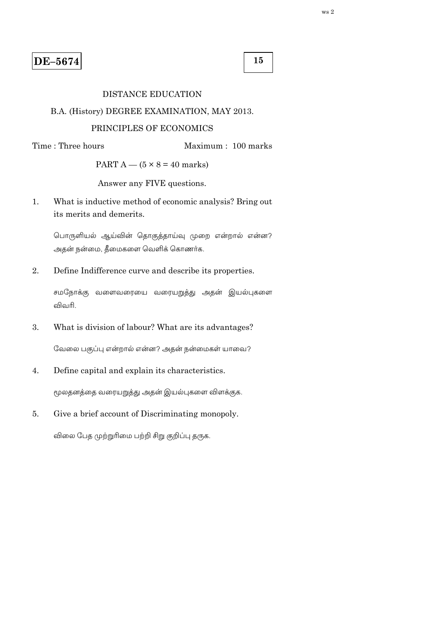15

#### **DISTANCE EDUCATION**

#### B.A. (History) DEGREE EXAMINATION, MAY 2013.

#### PRINCIPLES OF ECONOMICS

Time: Three hours

Maximum: 100 marks

PART  $A - (5 \times 8 = 40$  marks)

Answer any FIVE questions.

What is inductive method of economic analysis? Bring out  $\mathbf{1}$ . its merits and demerits.

பொருளியல் ஆய்வின் தொகுத்தாய்வு முறை என்றால் என்ன? அதன் நன்மை, தீமைகளை வெளிக் கொணர்க.

 $\overline{2}$ . Define Indifference curve and describe its properties.

சமநோக்கு வளைவரையை வரையறுத்து அதன் இயல்புகளை விவரி

3. What is division of labour? What are its advantages?

வேலை பகுப்பு என்றால் என்ன? அதன் நன்மைகள் யாவை?

Define capital and explain its characteristics.  $\overline{4}$ .

மூலதனத்தை வரையறுத்து அதன் இயல்புகளை விளக்குக.

 $5<sub>1</sub>$ Give a brief account of Discriminating monopoly.

விலை பேத முற்றுரிமை பற்றி சிறு குறிப்பு தருக.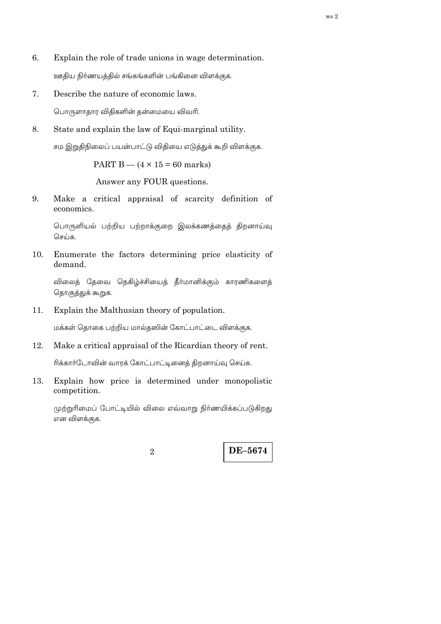- 6. Explain the role of trade unions in wage determination. ஊதிய நிர்ணயத்தில் சங்கங்களின் பங்கினை விளக்குக.
- Describe the nature of economic laws. 7.

பொருளாதார விதிகளின் தன்மையை விவரி.

8. State and explain the law of Equi-marginal utility.

சம இறுதிநிலைப் பயன்பாட்டு விதியை எடுத்துக் கூறி விளக்குக.

PART B  $-$  (4  $\times$  15 = 60 marks)

Answer any FOUR questions.

Make a critical appraisal of scarcity definition of 9. economics.

பொருளியல் பற்றிய பற்றாக்குறை இலக்கணத்தைத் திறனாய்வு செய்க.

Enumerate the factors determining price elasticity of 10. demand.

விலைத் தேவை நெகிழ்ச்சியைத் தீர்மானிக்கும் காரணிகளைத் தொகுத்துக் கூறுக.

Explain the Malthusian theory of population. 11.

மக்கள் தொகை பற்றிய மால்தஸின் கோட்பாட்டை விளக்குக.

12. Make a critical appraisal of the Ricardian theory of rent.

ரிக்கார்டோவின் வாரக் கோட்பாட்டினைத் திறனாய்வு செய்க.

13. Explain how price is determined under monopolistic competition.

முற்றுரிமைப் போட்டியில் விலை எவ்வாறு நிர்ணயிக்கப்படுகிறது என விளக்குக.

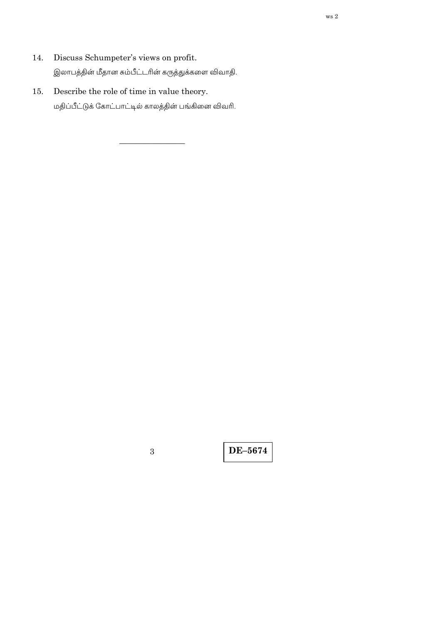- Discuss Schumpeter's views on profit. 14. இலாபத்தின் மீதான சும்பீட்டரின் கருத்துக்களை விவாதி.
- Describe the role of time in value theory.  $15. \,$ மதிப்பீட்டுக் கோட்பாட்டில் காலத்தின் பங்கினை விவரி.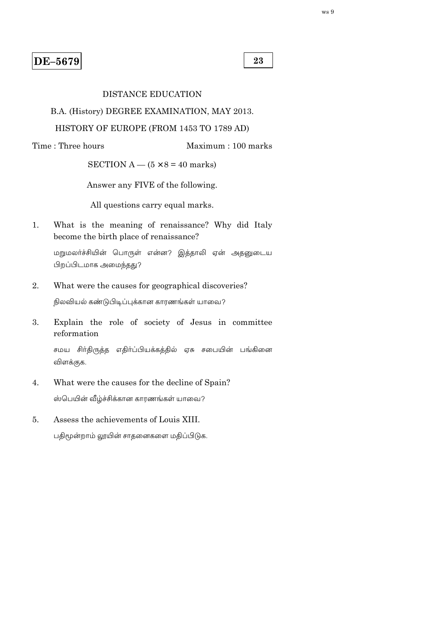23

#### **DISTANCE EDUCATION**

B.A. (History) DEGREE EXAMINATION, MAY 2013.

#### HISTORY OF EUROPE (FROM 1453 TO 1789 AD)

Time: Three hours

Maximum: 100 marks

SECTION A  $-$  (5  $\times$  8 = 40 marks)

Answer any FIVE of the following.

All questions carry equal marks.

 $\mathbf{1}$ What is the meaning of renaissance? Why did Italy become the birth place of renaissance?

மறுமலர்ச்சியின் பொருள் என்ன? இத்தாலி ஏன் அதனுடைய பிறப்பிடமாக அமைந்தது?

- $\overline{2}$ . What were the causes for geographical discoveries? நிலவியல் கண்டுபிடிப்புக்கான காரணங்கள் யாவை?
- Explain the role of society of Jesus in committee  $\mathcal{E}$ . reformation

சமய சிர்திருத்த எதிர்ப்பியக்கத்தில் ஏசு சபையின் பங்கினை விளக்குக.

- What were the causes for the decline of Spain?  $\overline{4}$ . ஸ்பெயின் வீழ்ச்சிக்கான காரணங்கள் யாவை?
- $5<sub>1</sub>$ Assess the achievements of Louis XIII. பதிமூன்றாம் லூயின் சாதனைகளை மதிப்பிடுக.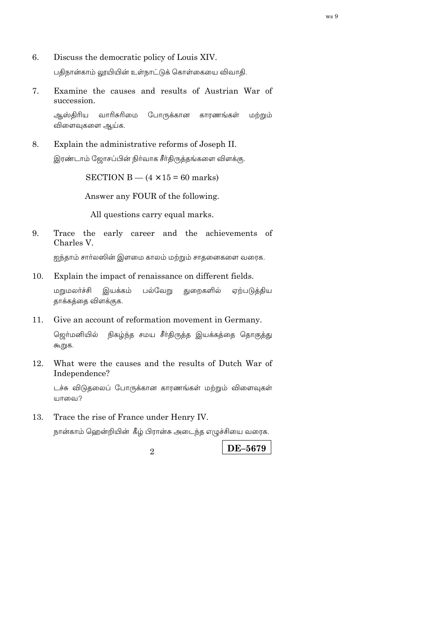6. Discuss the democratic policy of Louis XIV.

பதிநான்காம் லூயியின் உள்நாட்டுக் கொள்கையை விவாதி.

7. Examine the causes and results of Austrian War of succession.

ஆஸ்திரிய வாரிசுரிமை போருக்கான காாணங்கள் மற்றும் விளைவுகளை ஆய்க.

8. Explain the administrative reforms of Joseph II.

இரண்டாம் ஜோசப்பின் நிர்வாக சீர்திருத்தங்களை விளக்கு.

SECTION B  $-$  (4  $\times$  15 = 60 marks)

Answer any FOUR of the following.

All questions carry equal marks.

Trace the early career and the achievements of 9. Charles V.

ஐந்தாம் சார்லஸின் இளமை காலம் மற்றும் சாதனைகளை வரைக.

Explain the impact of renaissance on different fields. 10.

பல்வேறு மறுமலர்ச்சி இயக்கம் துறைகளில் ஏற்படுத்திய தாக்கத்தை விளக்குக.

11. Give an account of reformation movement in Germany.

நிகழ்ந்த சமய சீா்திருத்த இயக்கத்தை தொகுத்து ஜெர்மனியில் கூறுக.

12. What were the causes and the results of Dutch War of Independence?

டச்சு விடுதலைப் போருக்கான காரணங்கள் மற்றும் விளைவுகள் யாவை?

13. Trace the rise of France under Henry IV.

நான்காம் ஹென்றியின் கீழ் பிரான்சு அடைந்த எழுச்சியை வரைக.

 $\mathfrak{D}$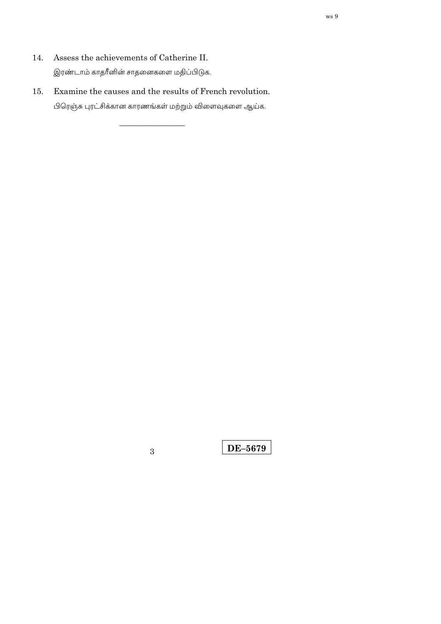- Assess the achievements of Catherine II. 14. இரண்டாம் காதரீனின் சாதனைகளை மதிப்பிடுக.
- Examine the causes and the results of French revolution.  $15. \,$ பிரெஞ்சு புரட்சிக்கான காரணங்கள் மற்றும் விளைவுகளை ஆய்க.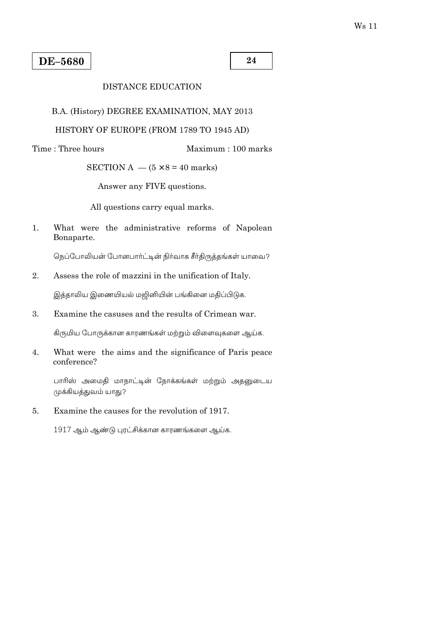24

## **DISTANCE EDUCATION**

B.A. (History) DEGREE EXAMINATION, MAY 2013

## HISTORY OF EUROPE (FROM 1789 TO 1945 AD)

Time: Three hours

Maximum: 100 marks

SECTION A  $-$  (5  $\times$  8 = 40 marks)

Answer any FIVE questions.

All questions carry equal marks.

 $1.$ What were the administrative reforms of Napolean Bonaparte.

நெப்போலியன் போனபார்ட்டின் நிர்வாக சீர்திருத்தங்கள் யாவை?

 $\overline{2}$ . Assess the role of mazzini in the unification of Italy.

இத்தாலிய இணையியல் மஜினியின் பங்கினை மதிப்பிடுக.

Examine the casuses and the results of Crimean war. 3.

கிருமிய போருக்கான காரணங்கள் மற்றும் விளைவுகளை ஆய்க.

 $4.$ What were the aims and the significance of Paris peace conference?

பாரிஸ் அமைதி மாநாட்டின் நோக்கங்கள் மற்றும் அதனுடைய முக்கியத்துவம் யாது?

Examine the causes for the revolution of 1917.  $5<sub>1</sub>$ 

1917 ஆம் ஆண்டு புரட்சிக்கான காரணங்களை ஆய்க.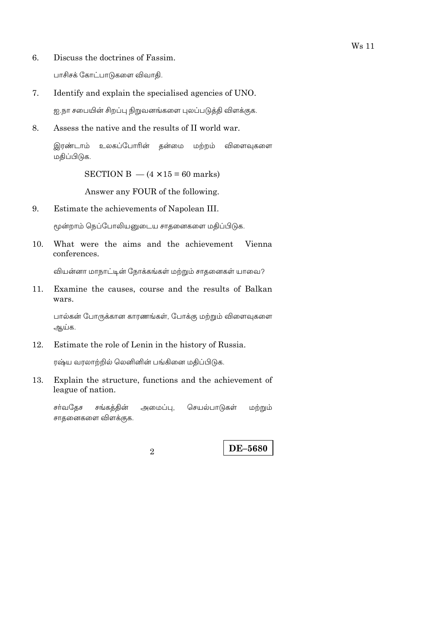- Discuss the doctrines of Fassim. 6. பாசிசக் கோட்பாடுகளை விவாதி.
- 7. Identify and explain the specialised agencies of UNO.

ஐ.நா சபையின் சிறப்பு நிறுவனங்களை புலப்படுத்தி விளக்குக.

8. Assess the native and the results of II world war.

> இரண்டாம் உலகப்போரின் தன்மை மற்றம் விளைவகளை மதிப்பிடுக.

> > SECTION B  $-$  (4  $\times$  15 = 60 marks)

Answer any FOUR of the following.

9. Estimate the achievements of Napolean III.

மூன்றாம் நெப்போலியனுடைய சாதனைகளை மதிப்பிடுக.

What were the aims and the achievement  $10.$ Vienna conferences.

வியன்னா மாநாட்டின் நோக்கங்கள் மற்றும் சாதனைகள் யாவை?

 $11.$ Examine the causes, course and the results of Balkan wars.

பால்கன் போருக்கான காரணங்கள், போக்கு மற்றும் விளைவுகளை ஆய்க.

12. Estimate the role of Lenin in the history of Russia.

ரஷ்ய வரலாற்றில் லெனினின் பங்கினை மதிப்பிடுக.

13. Explain the structure, functions and the achievement of league of nation.

சர்வதேச சங்கத்தின் செயல்பாடுகள் மற்றும் அமைப்பு, சாதனைகளை விளக்குக.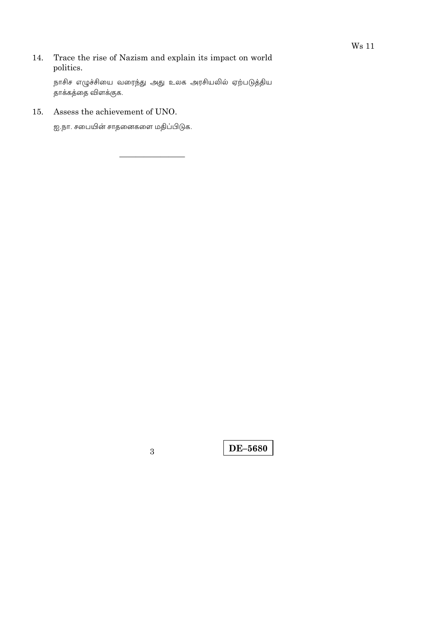Trace the rise of Nazism and explain its impact on world 14. politics.

நாசிச எழுச்சியை வரைந்து அது உலக அரசியலில் ஏற்படுத்திய .<br>தாக்கத்தை விளக்குக.

Assess the achievement of UNO.  $15.$ 

ஐ.நா. சபையின் சாதனைகளை மதிப்பிடுக.

 $\overline{3}$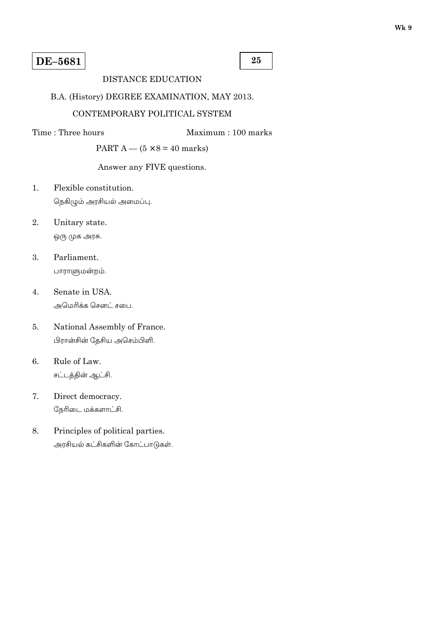25

## **DISTANCE EDUCATION**

## B.A. (History) DEGREE EXAMINATION, MAY 2013.

### CONTEMPORARY POLITICAL SYSTEM

Time: Three hours

Maximum: 100 marks

PART  $A - (5 \times 8 = 40$  marks)

## Answer any FIVE questions.

- Flexible constitution.  $\mathbf{1}$ . நெகிழும் அரசியல் அமைப்பு.
- 2. Unitary state. ஒரு முக அரசு.
- 3. Parliament.

பாராளுமன்றம்.

- $4.$ Senate in USA. அமெரிக்க செனட் சபை.
- 5. National Assembly of France. பிரான்சின் தேசிய அசெம்பிளி.
- 6. Rule of Law. சட்டத்தின் ஆட்சி.
- 7. Direct democracy. நேரிடை மக்களாட்சி.
- 8. Principles of political parties. அரசியல் கட்சிகளின் கோட்பாடுகள்.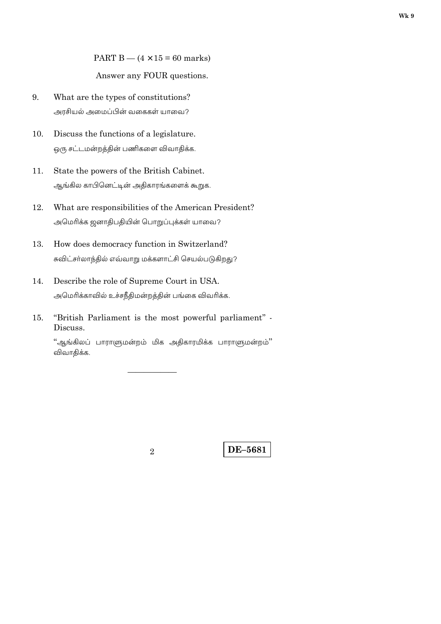PART B  $-$  (4  $\times$  15 = 60 marks)

Answer any FOUR questions.

- 9. What are the types of constitutions? அரசியல் அமைப்பின் வகைகள் யாவை?
- 10. Discuss the functions of a legislature. ஒரு சட்டமன்றத்தின் பணிகளை விவாதிக்க.
- 11. State the powers of the British Cabinet. ஆங்கில காபினெட்டின் அதிகாரங்களைக் கூறுக.
- 12. What are responsibilities of the American President? அமெரிக்க ஜனாதிபதியின் பொறுப்புக்கள் யாவை?
- How does democracy function in Switzerland? 13. சுவிட்சா்லாந்தில் எவ்வாறு மக்களாட்சி செயல்படுகிறது?
- 14. Describe the role of Supreme Court in USA. அமெரிக்காவில் உச்சநீதிமன்றத்தின் பங்கை விவரிக்க.
- "British Parliament is the most powerful parliament" -15. Discuss.

"ஆங்கிலப் பாராளுமன்றம் மிக அதிகாரமிக்க பாராளுமன்றம்" விவாதிக்க.

 $\mathfrak{D}$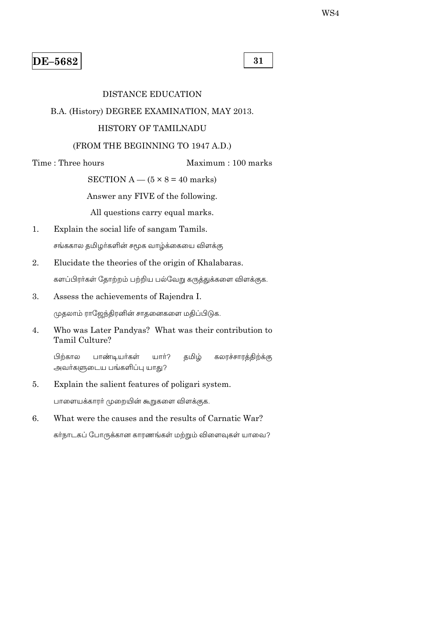31

#### **DISTANCE EDUCATION**

#### B.A. (History) DEGREE EXAMINATION, MAY 2013.

#### HISTORY OF TAMILNADU

#### (FROM THE BEGINNING TO 1947 A.D.)

Time: Three hours

Maximum: 100 marks

SECTION A —  $(5 \times 8 = 40$  marks)

Answer any FIVE of the following.

All questions carry equal marks.

- Explain the social life of sangam Tamils. 1. சங்ககால தமிழா்களின் சமூக வாழ்க்கையை விளக்கு
- 2. Elucidate the theories of the origin of Khalabaras.

களப்பிரர்கள் தோற்றம் பற்றிய பல்வேறு கருத்துக்களை விளக்குக.

Assess the achievements of Rajendra I. 3.

முதலாம் ராஜேந்திரனின் சாதனைகளை மதிப்பிடுக.

Who was Later Pandyas? What was their contribution to  $\overline{4}$ . Tamil Culture?

பிற்கால கலரச்சாரத்திற்க்கு பாண்டியர்கள் டார்? தமிழ் அவர்களுடைய பங்களிப்பு யாது?

5. Explain the salient features of poligari system.

பாளையக்காரர் முறையின் கூறுகளை விளக்குக.

What were the causes and the results of Carnatic War?  $6.$ 

கர்நாடகப் போருக்கான காரணங்கள் மற்றும் விளைவுகள் யாவை?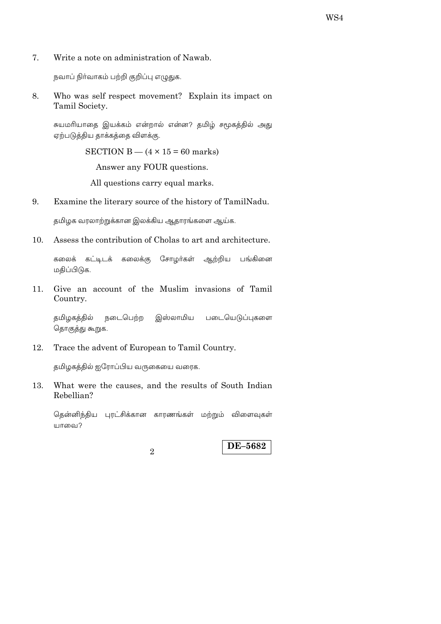7. Write a note on administration of Nawab.

நவாப் நிா்வாகம் பற்றி குறிப்பு எழுதுக.

Who was self respect movement? Explain its impact on 8. Tamil Society.

சுயமரியாதை இயக்கம் என்றால் என்ன? தமிழ் சமூகத்தில் அது ஏற்படுத்திய தாக்கத்தை விளக்கு.

SECTION B  $-$  (4  $\times$  15 = 60 marks)

Answer any FOUR questions.

All questions carry equal marks.

9. Examine the literary source of the history of TamilNadu.

தமிழக வரலாற்றுக்கான இலக்கிய ஆதாரங்களை ஆய்க.

10. Assess the contribution of Cholas to art and architecture.

கலைக் கட்டிடக் கலைக்கு சோழா்கள் ஆற்றிய பங்கினை மதிப்பிடுக.

Give an account of the Muslim invasions of Tamil  $11.$ Country.

நடைபெற்ற தமிழகத்தில் இஸ்லாமிய படையெடுப்புகளை தொகுத்து கூறுக.

12. Trace the advent of European to Tamil Country.

தமிழகத்தில் ஐரோப்பிய வருகையை வரைக.

What were the causes, and the results of South Indian 13. Rebellian?

தென்னிந்திய புரட்சிக்கான காரணங்கள் மற்றும் விளைவுகள் யாவை?

 $\mathfrak{D}$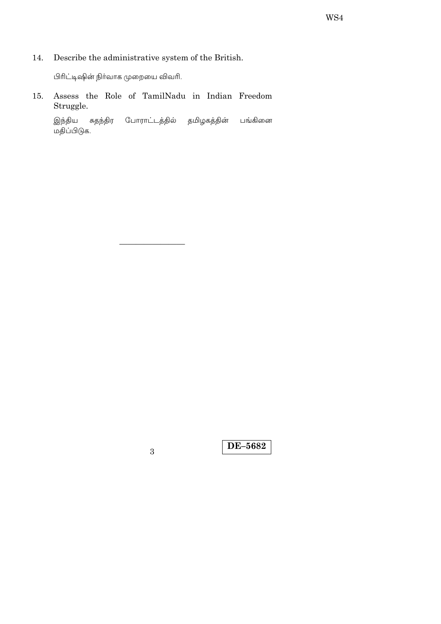Describe the administrative system of the British. 14.

பிரிட்டிஷின் நிர்வாக முறையை விவரி.

Assess the Role of TamilNadu in Indian Freedom 15. Struggle.

இந்திய சுதந்திர போராட்டத்தில் தமிழகத்தின் பங்கினை …<br>மதிப்பிடுக.

 $\overline{3}$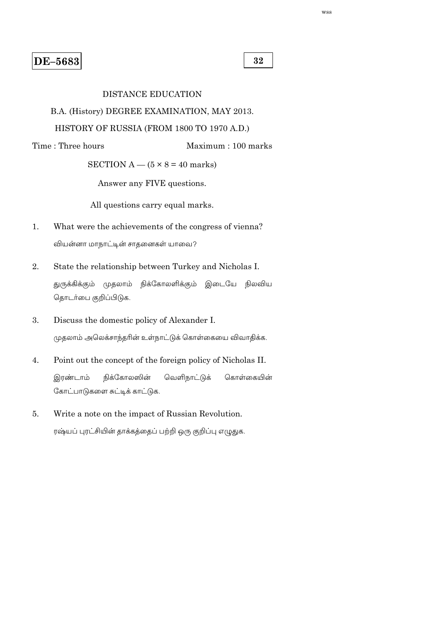32

Maximum: 100 marks

#### **DISTANCE EDUCATION**

## B.A. (History) DEGREE EXAMINATION, MAY 2013.

## HISTORY OF RUSSIA (FROM 1800 TO 1970 A.D.)

Time: Three hours

SECTION A  $-$  (5  $\times$  8 = 40 marks)

Answer any FIVE questions.

All questions carry equal marks.

- What were the achievements of the congress of vienna?  $1.$ வியன்னா மாநாட்டின் சாதனைகள் யாவை?
- $\overline{2}$ . State the relationship between Turkey and Nicholas I.

துருக்கிக்கும் முதலாம் நிக்கோலளிக்கும் இடையே நிலவிய தொடர்பை குறிப்பிடுக.

- 3. Discuss the domestic policy of Alexander I. முதலாம் அலெக்சாந்தரின் உள்நாட்டுக் கொள்கையை விவாதிக்க.
- $4.$ Point out the concept of the foreign policy of Nicholas II. நிக்கோலஸின் வெளிநாட்டுக் இரண்டாம் கொள்கையின் கோட்பாடுகளை சுட்டிக் காட்டுக.
- 5. Write a note on the impact of Russian Revolution.

ரஷ்யப் புரட்சியின் தாக்கத்தைப் பற்றி ஒரு குறிப்பு எழுதுக.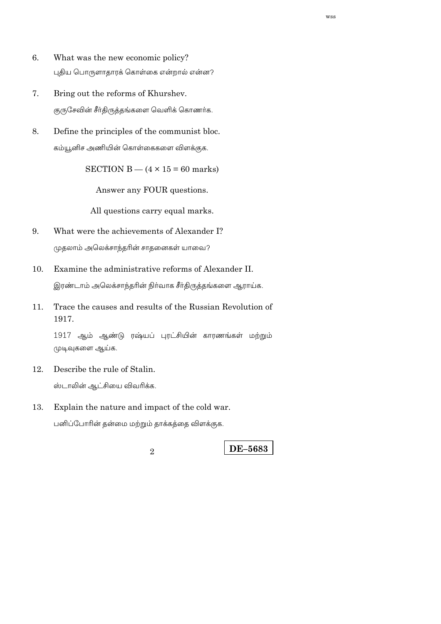- 6. What was the new economic policy? புதிய பொருளாதாரக் கொள்கை என்றால் என்ன?
- Bring out the reforms of Khurshev. 7. குருசேவின் சீர்திருத்தங்களை வெளிக் கொணர்க.
- 8. Define the principles of the communist bloc. கம்யூனிச அணியின் கொள்கைகளை விளக்குக.

SECTION B  $-$  (4  $\times$  15 = 60 marks)

Answer any FOUR questions.

All questions carry equal marks.

- 9. What were the achievements of Alexander I? முதலாம் அலெக்சாந்தரின் சாதனைகள் யாவை?
- Examine the administrative reforms of Alexander II. 10.

இரண்டாம் அலெக்சாந்தரின் நிர்வாக சீர்திருத்தங்களை ஆராய்க.

Trace the causes and results of the Russian Revolution of 11. 1917.

1917 ஆம் ஆண்டு ரஷ்யப் புரட்சியின் காரணங்கள் மற்றும் முடிவுகளை ஆய்க.

- 12. Describe the rule of Stalin. ஸ்டாலின் ஆட்சியை விவரிக்க.
- Explain the nature and impact of the cold war. 13.

பனிப்போரின் தன்மை மற்றும் தாக்கத்தை விளக்குக.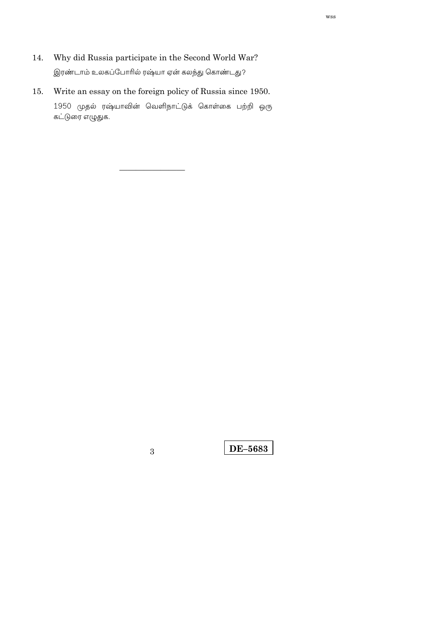- Why did Russia participate in the Second World War? 14. இரண்டாம் உலகப்போரில் ரஷ்யா ஏன் கலந்து கொண்டது?
- Write an essay on the foreign policy of Russia since 1950.  $15.$ 1950 முதல் ரஷ்யாவின் வெளிநாட்டுக் கொள்கை பற்றி ஒரு கட்டுரை எழுதுக.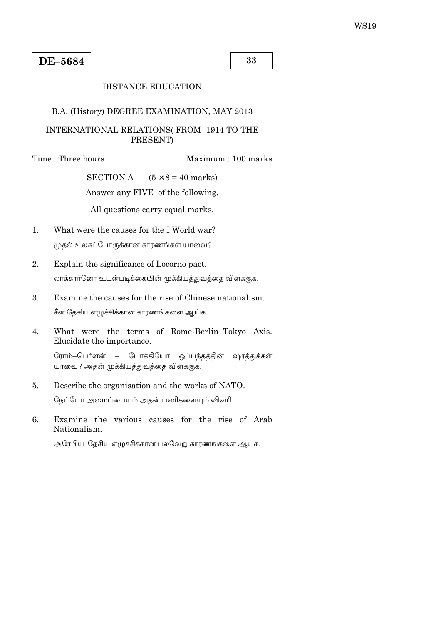33

#### **DISTANCE EDUCATION**

#### B.A. (History) DEGREE EXAMINATION, MAY 2013

## INTERNATIONAL RELATIONS(FROM 1914 TO THE PRESENT)

Time: Three hours

Maximum: 100 marks

SECTION A  $-$  (5  $\times$  8 = 40 marks)

Answer any FIVE of the following.

All questions carry equal marks.

- What were the causes for the I World war?  $1.$ முதல் உலகப்போருக்கான காரணங்கள் யாவை?
- $\overline{2}$ . Explain the significance of Locorno pact. லாக்கார்னோ உடன்படிக்கையின் முக்கியத்துவத்தை விளக்குக.
- 3. Examine the causes for the rise of Chinese nationalism. சீன தேசிய எழுச்சிக்கான காரணங்களை ஆய்க.
- $\overline{4}$ . What were the terms of Rome-Berlin-Tokyo Axis. Elucidate the importance.

ரோம்–பெர்ளன் – டோக்கியோ ஒப்பந்தத்தின் ஷரத்துக்கள் யாவை? அதன் முக்கியத்துவத்தை விளக்குக.

Describe the organisation and the works of NATO. 5.

நேட்டோ அமைப்பையும் அதன் பணிகளையும் விவரி.

 $6.$ Examine the various causes for the rise of Arab Nationalism.

அரேபிய தேசிய எழுச்சிக்கான பல்வேறு காரணங்களை ஆய்க.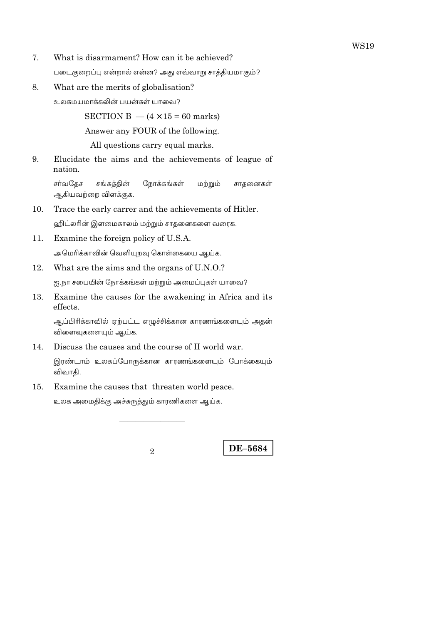- What is disarmament? How can it be achieved? 7. படைகுறைப்பு என்றால் என்ன? அது எவ்வாறு சாத்தியமாகும்?
- 8. What are the merits of globalisation?

உலகமயமாக்கலின் பயன்கள் யாவை?

SECTION B  $-$  (4  $\times$  15 = 60 marks)

Answer any FOUR of the following.

All questions carry equal marks.

Elucidate the aims and the achievements of league of 9. nation.

சர்வதேச சங்கத்தின் நோக்கங்கள் மற்றும் சாதனைகள் ஆகியவற்றை விளக்குக.

- 10. Trace the early carrer and the achievements of Hitler. ஹிட்லரின் இளமைகாலம் மற்றும் சாதனைகளை வரைக.
- 11. Examine the foreign policy of U.S.A.

அமெரிக்காவின் வெளியுறவு கொள்கையை ஆய்க.

12. What are the aims and the organs of U.N.O.?

ஐ.நா சபையின் நோக்கங்கள் மற்றும் அமைப்புகள் யாவை?

13. Examine the causes for the awakening in Africa and its effects.

ஆப்பிரிக்காவில் ஏற்பட்ட எழுச்சிக்கான காரணங்களையும் அதன் விளைவுகளையும் ஆய்க.

Discuss the causes and the course of II world war.  $14.$ 

இரண்டாம் உலகப்போருக்கான காரணங்களையும் போக்கையும் விவாதி.

15. Examine the causes that threaten world peace.

உலக அமைதிக்கு அச்சுருத்தும் காரணிகளை ஆய்க.

 $\mathfrak{D}$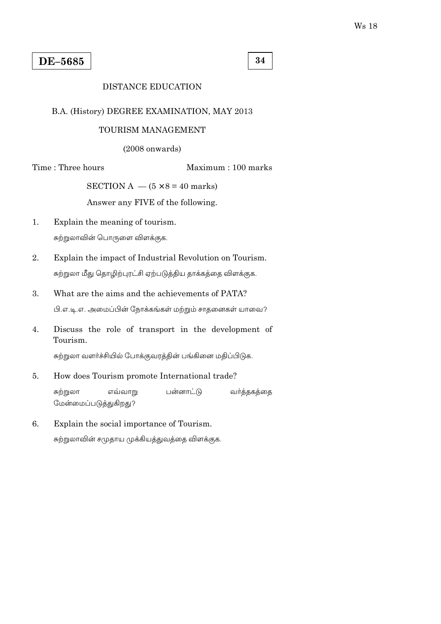34

## **DISTANCE EDUCATION**

#### B.A. (History) DEGREE EXAMINATION, MAY 2013

### TOURISM MANAGEMENT

 $(2008$  onwards)

Time: Three hours

Maximum: 100 marks

SECTION A  $-$  (5  $\times$  8 = 40 marks)

Answer any FIVE of the following.

- $1.$ Explain the meaning of tourism. சுற்றுலாவின் பொருளை விளக்குக.
- $\overline{2}$ . Explain the impact of Industrial Revolution on Tourism. சுற்றுலா மீது தொழிற்புரட்சி ஏற்படுத்திய தாக்கத்தை விளக்குக.
- 3. What are the aims and the achievements of PATA? பி.எ.டி.எ. அமைப்பின் நோக்கங்கள் மற்றும் சாதனைகள் யாவை?
- Discuss the role of transport in the development of  $\overline{4}$ . Tourism.

சுற்றுலா வளர்ச்சியில் போக்குவரத்தின் பங்கினை மதிப்பிடுக.

5. How does Tourism promote International trade?

> சுற்றுலா எவ்வாறு பன்னாட்டு வர்த்தகத்தை மேன்மைப்படுத்துகிறது?

6. Explain the social importance of Tourism. சுற்றுலாவின் சமுதாய முக்கியத்துவத்தை விளக்குக.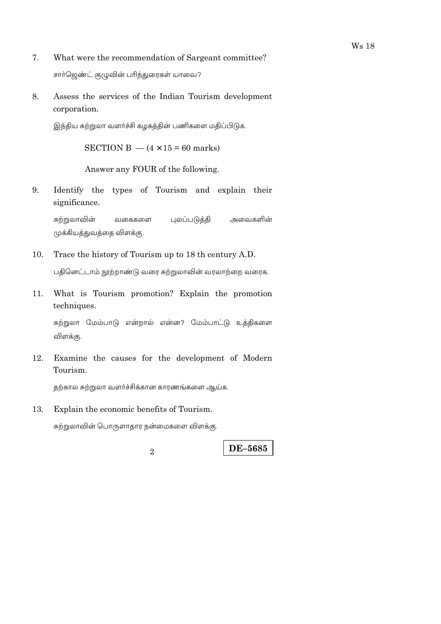- 7. What were the recommendation of Sargeant committee? சார்ஜெண்ட் குழுவின் பரிந்துரைகள் யாவை?
- Assess the services of the Indian Tourism development 8. corporation.

இந்திய சுற்றுலா வளர்ச்சி கழகத்தின் பணிகளை மதிப்பிடுக.

SECTION B  $-$  (4  $\times$  15 = 60 marks)

Answer any FOUR of the following.

9. Identify the types of Tourism and explain their significance.

சுற்றுலாவின் புலப்படுத்தி அவைகளின் வகைகளை முக்கியத்துவத்தை விளக்கு.

- 10. Trace the history of Tourism up to 18 th century A.D. பதினெட்டாம் நூற்றாண்டு வரை சுற்றுலாவின் வரலாற்றை வரைக.
- What is Tourism promotion? Explain the promotion 11. techniques.

சுற்றுலா மேம்பாடு என்றால் என்ன? மேம்பாட்டு உத்திகளை விளக்கு.

12. Examine the causes for the development of Modern Tourism.

தற்கால சுற்றுலா வளர்ச்சிக்கான காரணங்களை ஆய்க.

13. Explain the economic benefits of Tourism.

சுற்றுலாவின் பொருளாதார நன்மைகளை விளக்கு.

**Ws 18** 

 $\overline{2}$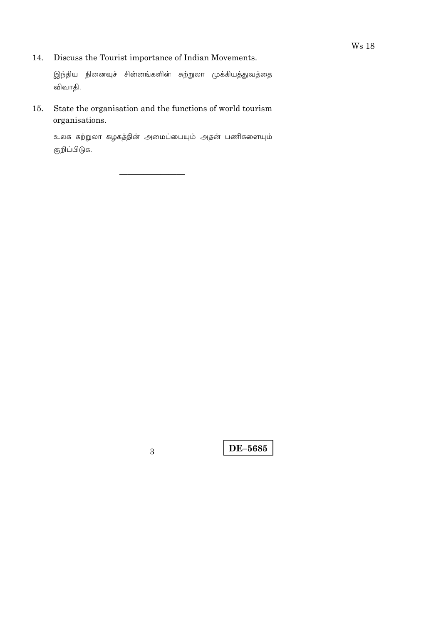Discuss the Tourist importance of Indian Movements. 14.

இந்திய நினைவுச் சின்னங்களின் சுற்றுலா முக்கியத்துவத்தை விவாதி.

State the organisation and the functions of world tourism 15. organisations.

உலக சுற்றுலா கழகத்தின் அமைப்பையும் அதன் பணிகளையும் குறிப்பிடுக.

 $\overline{3}$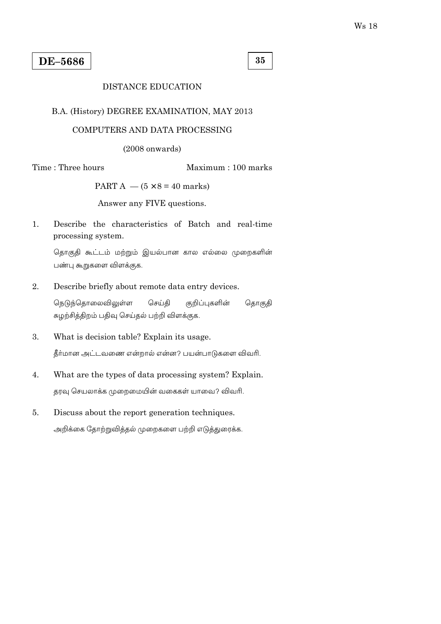35

## **DISTANCE EDUCATION**

### B.A. (History) DEGREE EXAMINATION, MAY 2013

## COMPUTERS AND DATA PROCESSING

 $(2008$  onwards)

Time: Three hours

Maximum: 100 marks

PART A  $-$  (5  $\times$  8 = 40 marks)

Answer any FIVE questions.

 $1<sup>1</sup>$ Describe the characteristics of Batch and real-time processing system.

தொகுதி கூட்டம் மற்றும் இயல்பான கால எல்லை முறைகளின் பண்பு கூறுகளை விளக்குக.

 $\overline{2}$ . Describe briefly about remote data entry devices.

> செய்தி நெடுந்தொலைவிலுள்ள குறிப்புகளின் தொகுதி சுழற்சித்திறம் பதிவு செய்தல் பற்றி விளக்குக.

3. What is decision table? Explain its usage.

கீர்மான அட்டவணை என்றால் என்ன? பயன்பாடுகளை விவரி.

- 4. What are the types of data processing system? Explain. தரவு செயலாக்க முறைமையின் வகைகள் யாவை? விவரி.
- 5. Discuss about the report generation techniques. அறிக்கை தோற்றுவித்தல் முறைகளை பற்றி எடுத்துரைக்க.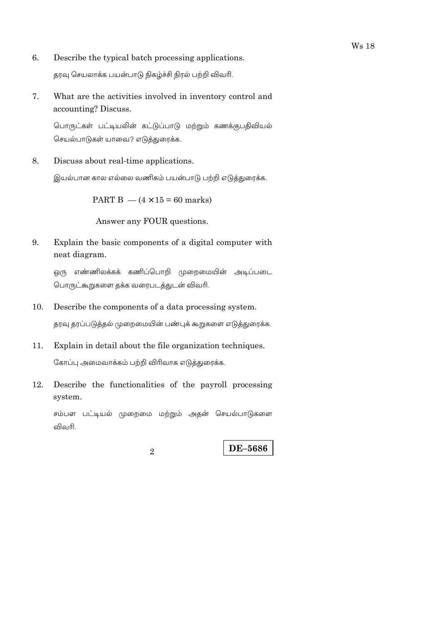- 6. Describe the typical batch processing applications. தரவு செயலாக்க பயன்பாடு நிகழ்ச்சி நிரல் பற்றி விவரி.
- 7. What are the activities involved in inventory control and accounting? Discuss.

பொருட்கள் பட்டியலின் கட்டுப்பாடு மற்றும் கணக்குபதிவியல் செயல்பாடுகள் யாவை? எடுத்துரைக்க.

8. Discuss about real-time applications.

இயல்பான கால எல்லை வணிகம் பயன்பாடு பற்றி எடுத்துரைக்க.

PART B  $-$  (4  $\times$  15 = 60 marks)

Answer any FOUR questions.

9. Explain the basic components of a digital computer with neat diagram.

ஒரு எண்ணிலக்கக் கணிப்பொறி முறைமையின் அடிப்படை பொருட்கூறுகளை தக்க வரைபடத்துடன் விவரி.

10. Describe the components of a data processing system.

தரவு தரப்படுத்தல் முறைமையின் பண்புக் கூறுகளை எடுத்துரைக்க.

- $11.$ Explain in detail about the file organization techniques. கோப்பு அமைவாக்கம் பற்றி விரிவாக எடுத்துரைக்க.
- 12. Describe the functionalities of the payroll processing system.

சம்பள பட்டியல் முறைமை மற்றும் அதன் செயல்பாடுகளை விவரி

 $\overline{2}$